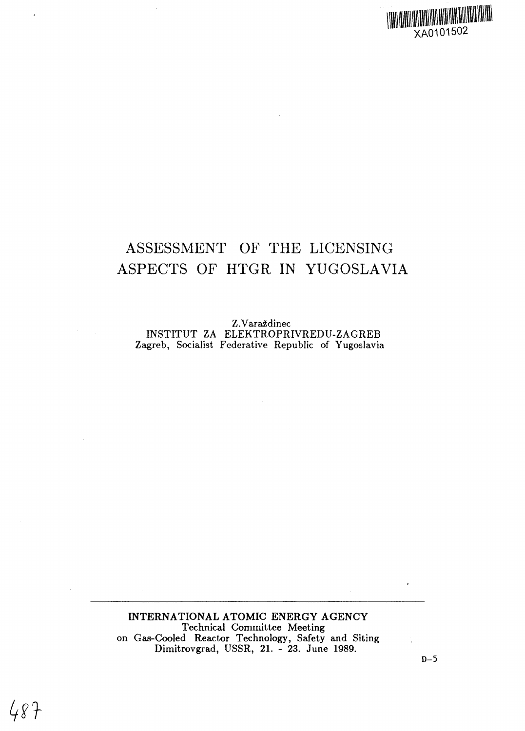## **IHIIII** IMIIMIIIII XA0101502

# ASSESSMENT OF THE LICENSING ASPECTS OF HTGR IN YUGOSLAVIA

Z.Varaždinec INSTITUT ZA ELEKTROPRIVREDU-ZAGREB Zagreb, Socialist Federative Republic of Yugoslavia

INTERNATIONAL ATOMIC ENERGY AGENCY Technical Committee Meeting on Gas-Cooled Reactor Technology, Safety and Siting Dimitrovgrad, USSR, 21. - 23. June 1989.

 $487$ 

 $\overline{a}$ 

**D-5**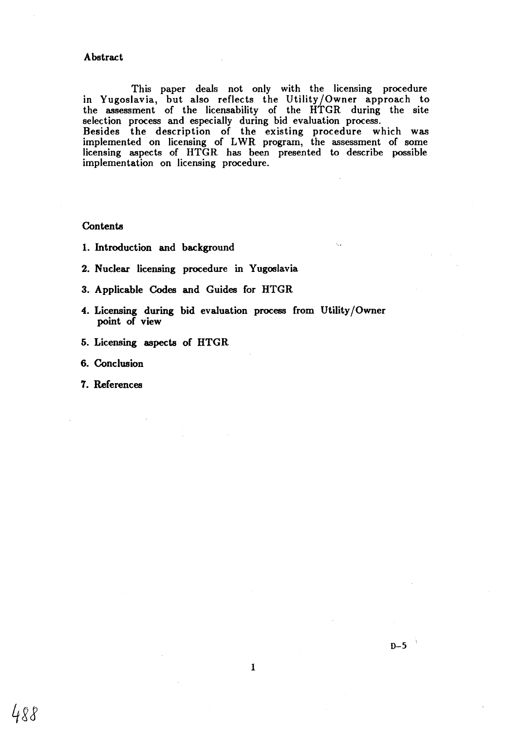#### **Abstract**

This paper deals not only with the licensing procedure in Yugoslavia, but also reflects the Utility/Owner approach to the assessment of the licensability of the HTGR during the site selection process and especially during bid evaluation process. Besides the description of the existing procedure which was implemented on licensing of LWR program, the assessment of some licensing aspects of HTGR has been presented to describe possible implementation on licensing procedure.

## **Contents**

- **1. Introduction and background**
- **2. Nuclear licensing procedure in Yugoslavia**
- **3. Applicable Codes and Guides for HTGR**
- **4. Licensing during bid evaluation process from Utility/Owner**
- 
- 
- **7. References**

488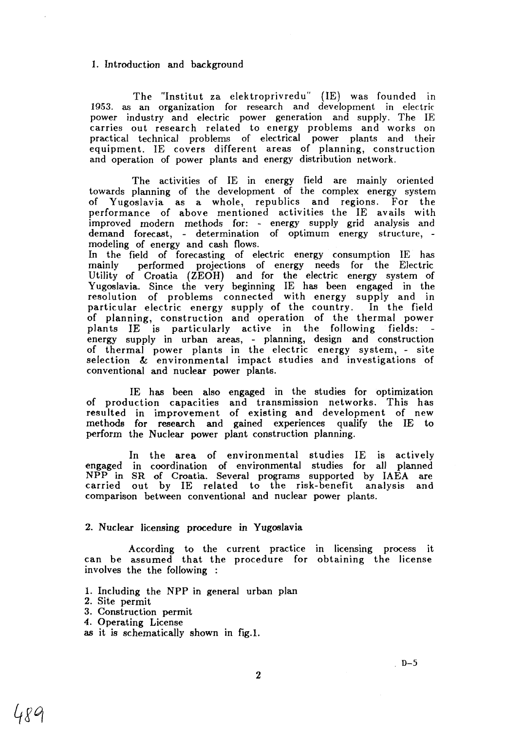## 1. Introduction and background

The "Institut za elektroprivredu" (IE) was founded in 1953. as an organization for research and development in electric power industry and electric power generation and supply. The IE carries out research related to energy problems and works on practical technical problems of electrical power plants and their equipment. IE covers different areas of planning, construction and operation of power plants and energy distribution network.

The activities of IE in energy field are mainly oriented towards planning of the development of the complex energy system of Yugoslavia as a whole, republics and regions. For the performance of above mentioned activities the IE avails with improved modern methods for: - energy supply grid analysis and demand forecast, - determination of optimum energy structure, modeling of energy and cash flows.

In the field of forecasting of electric energy consumption IE has mainly performed projections of energy needs for the Electric Utility of Croatia (ZEOH) and for the electric energy system of Yugoslavia. Since the very beginning IE has been engaged in the resolution of problems connected with energy supply and in particular electric energy supply of the country. In the field of planning, construction and operation of the thermal power plants IE is particularly active in the following fields: energy supply in urban areas, - planning, design and construction of thermal power plants in the electric energy system, - site selection & environmental impact studies and investigations of conventional and nuclear power plants.

IE has been also engaged in the studies for optimization of production capacities and transmission networks. This has resulted in improvement of existing and development of new methods for research and gained experiences qualify the IE to perform the Nuclear power plant construction planning.

In the area of environmental studies IE is actively engaged in coordination of environmental studies for all planned NPP in SR of Croatia. Several programs supported by IAEA are carried out by IE related to the risk-benefit analysis and comparison between conventional and nuclear power plants.

## 2. Nuclear licensing procedure in Yugoslavia

According to the current practice in licensing process it can be assumed that the procedure for obtaining the license involves the the following :

- 1. Including the NPP in general urban plan
- 2. Site permit
- 3. Construction permit
- 4. Operating License
- as it is schematically shown in fig.l.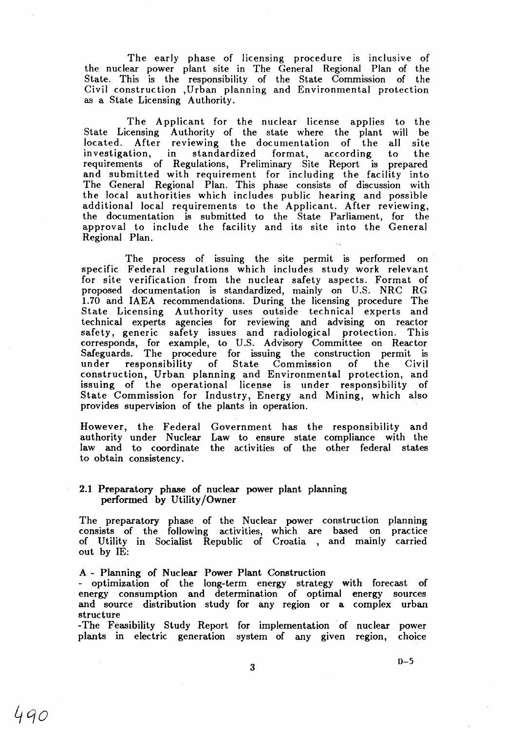The early phase of licensing procedure is inclusive of the nuclear power plant site in The General Regional Plan of the State. This is the responsibility of the State Commission of the Civil construction ,Urban planning and Environmental protection as a State Licensing Authority.

The Applicant for the nuclear license applies to the State Licensing Authority of the state where the plant will be located. After reviewing the documentation of the all site investigation, in standardized format, according to the requirements of Regulations, Preliminary Site Report is prepared and submitted with requirement for including the facility into The General Regional Plan. This phase consists of discussion with the local authorities which includes public hearing and possible additional local requirements to the Applicant. After reviewing, the documentation is submitted to the State Parliament, for the approval to include the facility and its site into the General Regional Plan.

The process of issuing the site permit is performed on specific Federal regulations which includes study work relevant for site verification from the nuclear safety aspects. Format of proposed documentation is standardized, mainly on U.S. NRC RG 1.70 and IAEA recommendations. During the licensing procedure The State Licensing Authority uses outside technical experts and technical experts agencies for reviewing and advising on reactor safety, generic safety issues and radiological protection. This corresponds, for example, to U.S. Advisory Committee on Reactor Safeguards. The procedure for issuing the construction permit is under responsibility of State Commission of the Civil construction, Urban planning and Environmental protection, and issuing of the operational license is under responsibility of State Commission for Industry, Energy and Mining, which also provides supervision of the plants in operation.

However, the Federal Government has the responsibility and authority under Nuclear Law to ensure state compliance with the law and to coordinate the activities of the other federal states to obtain consistency.

## 2.1 Preparatory phase of nuclear power plant planning performed by Utility/Owner

The preparatory phase of the Nuclear power construction planning consists of the following activities, which are based on practice of Utility in Socialist Republic of Croatia , and mainly carried out by IE:

#### A - Planning of Nuclear Power Plant Construction

- optimization of the long-term energy strategy with forecast of energy consumption and determination of optimal energy sources and source distribution study for any region or a complex urban structure

-The Feasibility Study Report for implementation of nuclear power plants in electric generation system of any given region, choice

3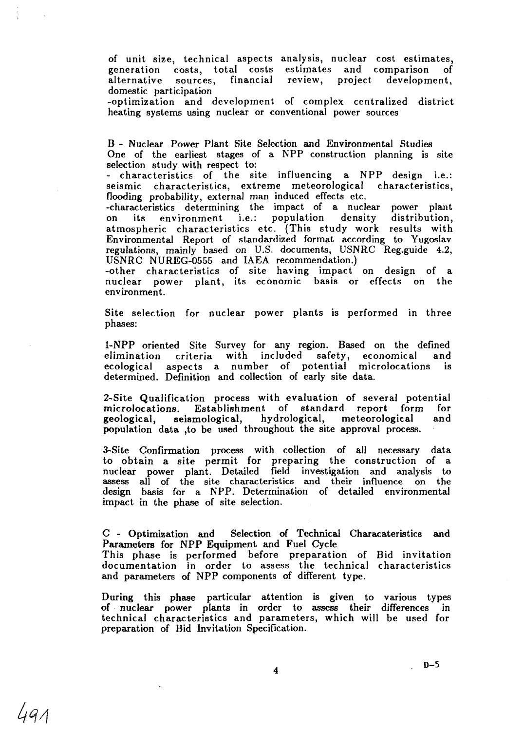of unit size, technical aspects analysis, nuclear cost estimates, generation costs, total costs estimates and comparison of alternative sources, financial review, project development, domestic participation

-optimization and development of complex centralized district heating systems using nuclear or conventional power sources

B - Nuclear Power Plant Site Selection and Environmental Studies One of the earliest stages of a NPP construction planning is site selection study with respect to:

- characteristics of the site influencing a NPP design i.e.:<br>seismic characteristics, extreme meteorological characteristics, seismic characteristics, extreme meteorological flooding probability, external man induced effects etc.

-characteristics determining the impact of a nuclear power plant on its environment atmospheric characteristics etc. (This study work results with Environmental Report of standardized format according to Yugoslav regulations, mainly based on U.S. documents, USNRC Reg.guide 4.2, USNRC NUREG-0555 and IAEA recommendation.)

-other characteristics of site having impact on design of a nuclear power plant, its economic basis or effects on the environment.

Site selection for nuclear power plants is performed in three phases:

1-NPP oriented Site Survey for any region. Based on the defined elimination criteria with included safety, economical and ecological aspects a number of potential microlocations is determined. Definition and collection of early site data.

2-Site Qualification process with evaluation of several potential<br>microlocations. Establishment of standard report form for microlocations. Establishment of standard report form geological, seismological, hydrological, meteorological and population data ,to be used throughout the site approval process.

3-Site Confirmation process with collection of all necessary data to obtain a site permit for preparing the construction of a nuclear power plant. Detailed field investigation and analysis to assess all of the site characteristics and their influence on the design basis for a NPP. Determination of detailed environmental impact in the phase of site selection.

C - Optimization and Selection of Technical Characateristics and Parameters for NPP Equipment and Fuel Cycle This phase is performed before preparation of Bid invitation documentation in order to assess the technical characteristics and parameters of NPP components of different type.

During this phase particular attention is given to various types of nuclear power plants in order to assess their differences in technical characteristics and parameters, which will be used for preparation of Bid Invitation Specification.

 $\boldsymbol{4}$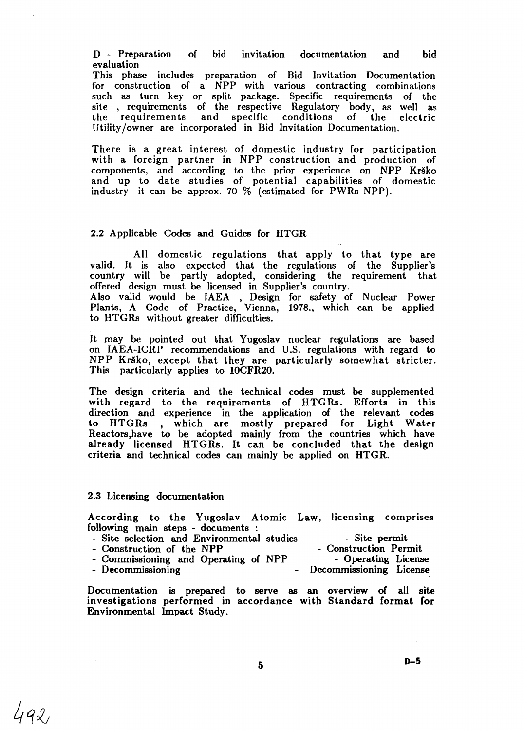D - Preparation of bid invitation documentation and bid evaluation

This phase includes preparation of Bid Invitation Documentation for construction of a NPP with various contracting combinations such as turn key or split package. Specific requirements of the site , requirements of the respective Regulatory body, as well as the requirements and specific conditions of the electric Utility/owner are incorporated in Bid Invitation Documentation.

There is a great interest of domestic industry for participation with a foreign partner in NPP construction and production of components, and according to the prior experience on NPP Krško and up to date studies of potential capabilities of domestic industry it can be approx. 70 *%* (estimated for PWRs NPP).

## 2.2 Applicable Codes and Guides for HTGR

All domestic regulations that apply to that type are valid. It is also expected that the regulations of the Supplier's country will be partly adopted, considering the requirement that offered design must be licensed in Supplier's country. Also valid would be IAEA , Design for safety of Nuclear Power Plants, A Code of Practice, Vienna, 1978., which can be applied to HTGRs without greater difficulties.

It may be pointed out that Yugoslav nuclear regulations are based on IAEA-ICRP recommendations and U.S. regulations with regard to NPP Krško, except that they are particularly somewhat stricter. This particularly applies to 10CFR20.

The design criteria and the technical codes must be supplemented with regard to the requirements of HTGRs. Efforts in this direction and experience in the application of the relevant codes to HTGRs , which are mostly prepared for Light Water Reactors,have to be adopted mainly from the countries which have already licensed HTGRs. It can be concluded that the design criteria and technical codes can mainly be applied on HTGR.

#### 2.3 Licensing documentation

492,

According to the Yugoslav Atomic Law, licensing comprises following main steps - documents :

- Site selection and Environmental studies Site permit<br>- Construction of the NPP Construction Permit
- Construction of the NPP<br>- Construction Permit<br>- Commissioning and Operating of NPP<br>- Operating License
- Commissioning and Operating of NPP<br>- Decommissioning
- Decommissioning License

Documentation is prepared to serve as an overview of all site investigations performed in accordance with Standard format for Environmental Impact Study.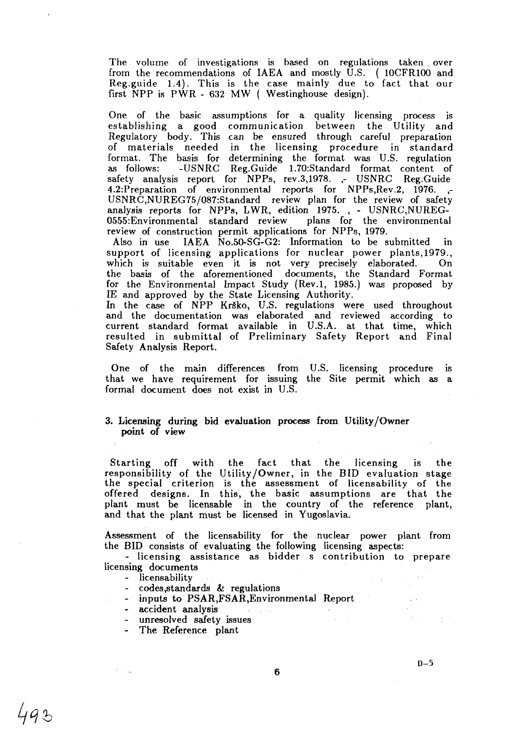The volume of investigations is based on regulations taken . over from the recommendations of IAEA and mostly U.S. ( 10CFR100 and Reg.guide 1.4). This is the case mainly due to fact that our first NPP is PWR - 632 MW ( Westinghouse design).

One of the basic assumptions for a quality licensing process is establishing a good communication between the Utility and Regulatory body. This can be ensured through careful preparation of materials needed in the licensing procedure in standard format. The basis for determining the format was U.S. regulation as follows: -USNRC Reg.Guide 1.70:Standard format content of safety analysis report for NPPs, rev.3,1978. ,- USNRC Reg.Guide 4.2:Preparation of environmental reports for NPPs,Rev.2, 1976. ,- USNRC,NUREG75/087:Standard review plan for the review of safety analysis reports for NPPs, LWR, edition 1975. , - USNRC,NUREG-0555:Environmental standard review plans for the environmental review of construction permit applications for NPPs, 1979.

Also in use IAEA No.50-SG-G2: Information to be submitted in support of licensing applications for nuclear power plants,1979., which is suitable even it is not very precisely elaborated. On the basis of the aforementioned documents, the Standard Format for the Environmental Impact Study (Rev.l, 1985.) was proposed by IE and approved by the State Licensing Authority.

In the case of NPP Krško, U.S. regulations were used throughout and the documentation was elaborated and reviewed according to current standard format available in U.S.A. at that time, which resulted in submittal of Preliminary Safety Report and Final Safety Analysis Report.

One of the main differences from U.S. licensing procedure is that we have requirement for issuing the Site permit which as a formal document does not exist in U.S.

## **3. Licensing during bid evaluation** process **from** Utility/Owner **point of view**

Starting off with the fact that the licensing is the responsibility of the Utility/Owner, in the BID evaluation stage the special criterion is the assessment of licensability of the offered designs. In this, the basic assumptions are that the plant must be Iicensable in the country of the reference plant, and that the plant must be licensed in Yugoslavia.

Assessment of the licensability for the nuclear power plant from the BID consists of evaluating the following licensing aspects:

- licensing assistance as bidder s contribution to prepare licensing documents

- licensability

 $\mathcal{F}=\mathcal{F}_{\mathbf{r},\mathbf{r}}$ 

- $codes, standards$  & regulations
- inputs to PSAR,FSAR,Environmental Report

 $\hat{g}^{\dagger} = -\hat{g}^{\dagger} + \hat{g}^{\dagger}$ 

- accident analysis
- unresolved safety issues
- The Reference plant

**6**

 $\epsilon \ll 1$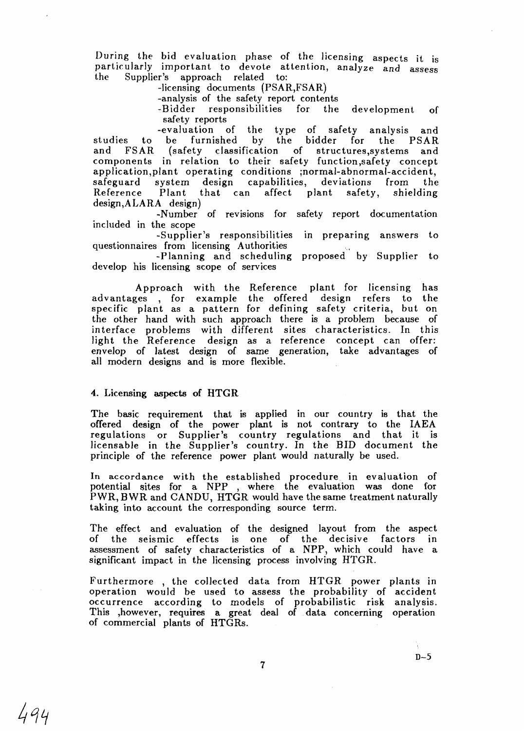During the bid evaluation phase *of* the licensing aspects it is particularly important to devote attention, analyze and assess Supplier's approach related to:

-licensing documents (PSAR,FSAR)

-analysis of the safety report contents

responsibilities for the development of safety reports<br>-evaluation of

evaluation of the type of safety analysis and<br>be furnished by the bidder for the PSAR studies to be furnished by the bidder for the PSAR<br>and FSAR (safety classification of structures, systems and (safety classification of structures, systems and components in relation to their safety function,safety concept application,plant operating conditions ;normal-abnormal-accident,<br>safeguard system design capabilities, deviations from the capabilities, deviations from the Reference Plant that can affect plant safety, shielding design,ALARA design)

-Number of revisions for safety report documentation included in the scope

-Supplier's responsibilities in preparing answers to questionnaires from licensing Authorities

-Planning and scheduling proposed by Supplier to develop his licensing scope of services

Approach with the Reference plant for licensing has advantages , for example the offered design refers to the specific plant as a pattern for defining safety criteria, but on the other hand with such approach there is a problem because of interface problems with different sites characteristics. In this light the Reference design as a reference concept can offer: envelop of latest design of same generation, take advantages of all modern designs and is more flexible.

#### 4. Licensing aspects of HTGR

The basic requirement that is applied in our country is that the offered design of the power plant is not contrary to the IAEA regulations or Supplier's country regulations and that it is licensable in the Supplier's country. In the BID document the principle of the reference power plant would naturally be used.

In accordance with the established procedure in evaluation of potential sites for a NPP , where the evaluation was done for PWR, BWR and CANDU, HTGR would have the same treatment naturally taking into account the corresponding source term.

The effect and evaluation of the designed layout from the aspect of the seismic effects is one of the decisive factors in assessment of safety characteristics of a NPP, which could have a significant impact in the licensing process involving HTGR.

Furthermore , the collected data from HTGR power plants in operation would be used to assess the probability of accident occurrence according to models of probabilistic risk analysis. This ,however, requires a great deal of data concerning operation of commercial plants of HTGRs.

**D-5**

494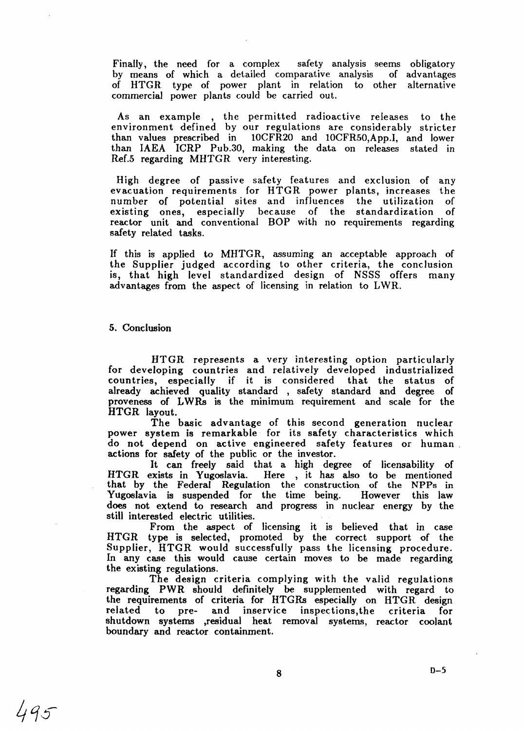Finally, the need for a complex safety analysis seems obligatory by means of which a detailed comparative analysis of advantages of HTGR type of power plant in relation to other alternative commercial power plants could be carried out.

As an example , the permitted radioactive releases to the environment defined by our regulations are considerably stricter than values prescribed in 10CFR20 and 10CFR50,App.I, and lower than IAEA ICRP Pub.30, making the data on releases stated in Ref.5 regarding MHTGR very interesting.

High degree of passive safety features and exclusion of any evacuation requirements for HTGR power plants, increases the number of potential sites and influences the utilization of existing ones, especially because of the standardization of reactor unit and conventional BOP with no requirements regarding safety related tasks.

If this is applied to MHTGR, assuming an acceptable approach of the Supplier judged according to other criteria, the conclusion is, that high level standardized design of NSSS offers many advantages from the aspect of licensing in relation to LWR.

## 5. Conclusion

HTGR represents a very interesting option particularly for developing countries and relatively developed industrialized countries, especially if it is considered that the status of already achieved quality standard , safety standard and degree of proveness of LWRs is the minimum requirement and scale for the HTGR layout.

The basic advantage of this second generation nuclear power system is remarkable for its safety characteristics which do not depend on active engineered safety features or human actions for safety of the public or the investor.

It can freely said that a high degree of licensability of HTGR exists in Yugoslavia. Here , it has also to be mentioned that by the Federal Regulation the construction of the NPPs in Yugoslavia is suspended for the time being. does not extend to research and progress in nuclear energy by the still interested electric utilities.

From the aspect of licensing it is believed that in case HTGR type is selected, promoted by the correct support of the Supplier, HTGR would successfully pass the licensing procedure. In any case this would cause certain moves to be made regarding the existing regulations.

The design criteria complying with the valid regulations regarding PWR should definitely be supplemented with regard to the requirements of criteria for HTGRs especially on HTGR design related to pre- and inservice inspections,the criteria for shutdown systems ,residual heat removal systems, reactor coolant boundary and reactor containment.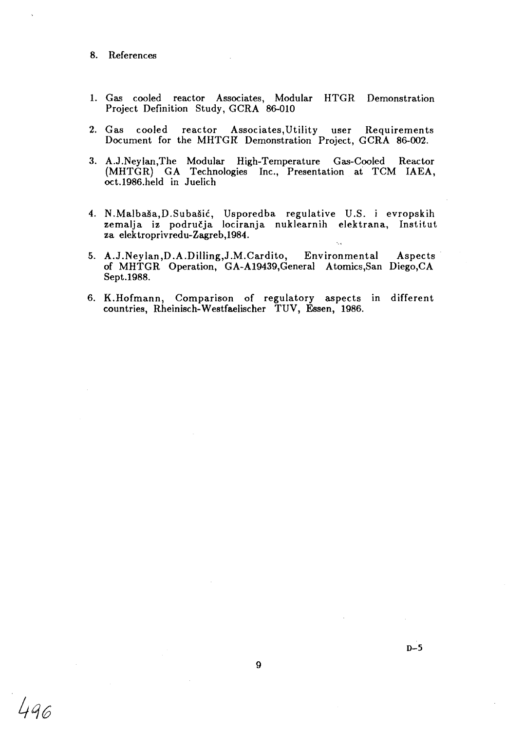- 8. References
- 1. Gas cooled reactor Associates, Modular HTGR Demonstration Project Definition Study, GCRA 86-010
- 2. Gas cooled reactor Associates,Utility user Requirements Document for the MHTGR Demonstration Project, GCRA 86-002.
- 3. A.J.Neylan,The Modular High-Temperature Gas-Cooled Reactor (MHTGR) GA Technologies Inc., Presentation at TCM IAEA, oct.1986.held in Juelich
- 4. N.Malba§a,D.Subasic, Usporedba regulative U.S. i evropskih zemalja iz podru£ja lociranja nuklearnih elektrana, Institut za elektroprivredu-Zagreb,1984.  $\hat{\lambda}_{\rm{tot}}$
- 5. A.J.Neylan,D.A.Dilling,J.M.Cardito, Environmental Aspects of MHTGR Operation, GA-A19439,General Atomics,San Diego,CA Sept.1988.
- 6. K.Hofmann, Comparison of regulatory aspects in different countries, Rheinisch-Westfaelischer TUV, Essen, 1986.